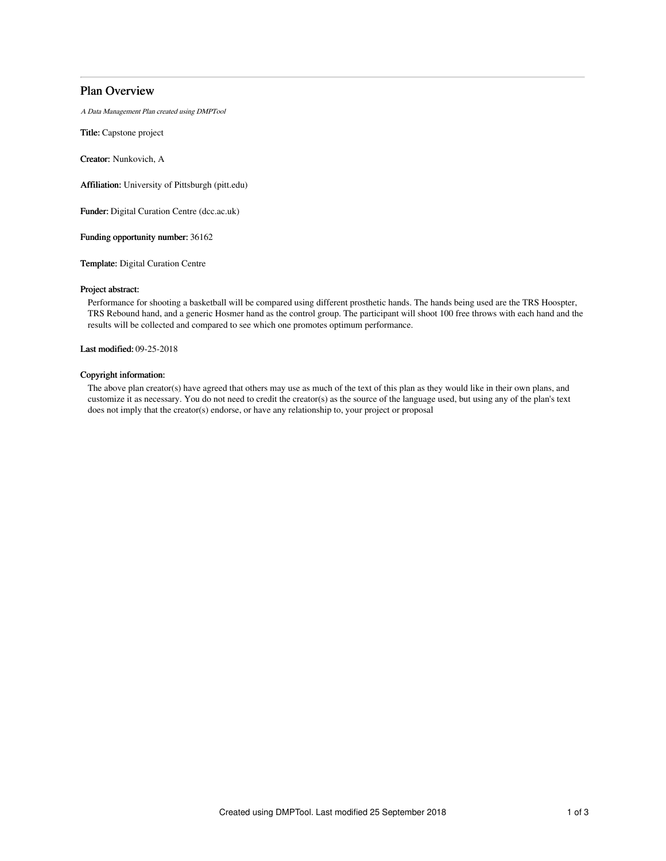# Plan Overview

A Data Management Plan created using DMPTool

Title: Capstone project

Creator: Nunkovich, A

Affiliation: University of Pittsburgh (pitt.edu)

Funder: Digital Curation Centre (dcc.ac.uk)

Funding opportunity number: 36162

Template: Digital Curation Centre

### Project abstract:

Performance for shooting a basketball will be compared using different prosthetic hands. The hands being used are the TRS Hoospter, TRS Rebound hand, and a generic Hosmer hand as the control group. The participant will shoot 100 free throws with each hand and the results will be collected and compared to see which one promotes optimum performance.

Last modified: 09-25-2018

# Copyright information:

The above plan creator(s) have agreed that others may use as much of the text of this plan as they would like in their own plans, and customize it as necessary. You do not need to credit the creator(s) as the source of the language used, but using any of the plan's text does not imply that the creator(s) endorse, or have any relationship to, your project or proposal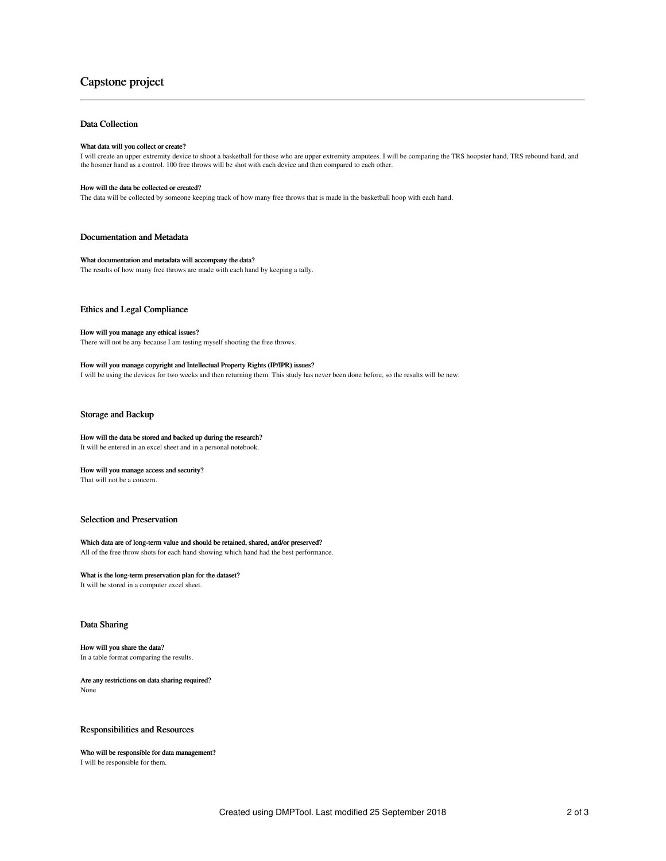# Capstone project

## Data Collection

#### What data will you collect or create?

I will create an upper extremity device to shoot a basketball for those who are upper extremity amputees. I will be comparing the TRS hoopster hand, TRS rebound hand, and<br>the hosmer hand as a control. 100 free throws will

#### How will the data be collected or created?

The data will be collected by someone keeping track of how many free throws that is made in the basketball hoop with each hand.

#### Documentation and Metadata

#### What documentation and metadata will accompany the data?

The results of how many free throws are made with each hand by keeping a tally.

## Ethics and Legal Compliance

#### How will you manage any ethical issues?

There will not be any because I am testing myself shooting the free throws.

#### How will you manage copyright and Intellectual Property Rights (IP/IPR) issues?

I will be using the devices for two weeks and then returning them. This study has never been done before, so the results will be new.

#### Storage and Backup

#### How will the data be stored and backed up during the research? It will be entered in an excel sheet and in a personal notebook.

### How will you manage access and security?

That will not be a concern.

## Selection and Preservation

#### Which data are of long-term value and should be retained, shared, and/or preserved? All of the free throw shots for each hand showing which hand had the best performance.

# What is the long-term preservation plan for the dataset?

It will be stored in a computer excel sheet.

#### Data Sharing

#### How will you share the data?

In a table format comparing the results.

#### Are any restrictions on data sharing required? None

# Responsibilities and Resources

Who will be responsible for data management? I will be responsible for them.